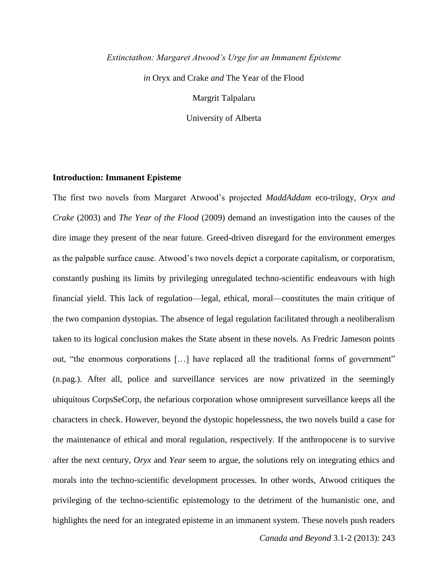*Extinctathon: Margaret Atwood's Urge for an Immanent Episteme*

*in* Oryx and Crake *and* The Year of the Flood

Margrit Talpalaru

University of Alberta

### **Introduction: Immanent Episteme**

The first two novels from Margaret Atwood's projected *MaddAddam* eco-trilogy, *Oryx and Crake* (2003) and *The Year of the Flood* (2009) demand an investigation into the causes of the dire image they present of the near future. Greed-driven disregard for the environment emerges as the palpable surface cause. Atwood's two novels depict a corporate capitalism, or corporatism, constantly pushing its limits by privileging unregulated techno-scientific endeavours with high financial yield. This lack of regulation—legal, ethical, moral—constitutes the main critique of the two companion dystopias. The absence of legal regulation facilitated through a neoliberalism taken to its logical conclusion makes the State absent in these novels. As Fredric Jameson points out, "the enormous corporations […] have replaced all the traditional forms of government" (n.pag.). After all, police and surveillance services are now privatized in the seemingly ubiquitous CorpsSeCorp, the nefarious corporation whose omnipresent surveillance keeps all the characters in check. However, beyond the dystopic hopelessness, the two novels build a case for the maintenance of ethical and moral regulation, respectively. If the anthropocene is to survive after the next century, *Oryx* and *Year* seem to argue, the solutions rely on integrating ethics and morals into the techno-scientific development processes. In other words, Atwood critiques the privileging of the techno-scientific epistemology to the detriment of the humanistic one, and highlights the need for an integrated episteme in an immanent system. These novels push readers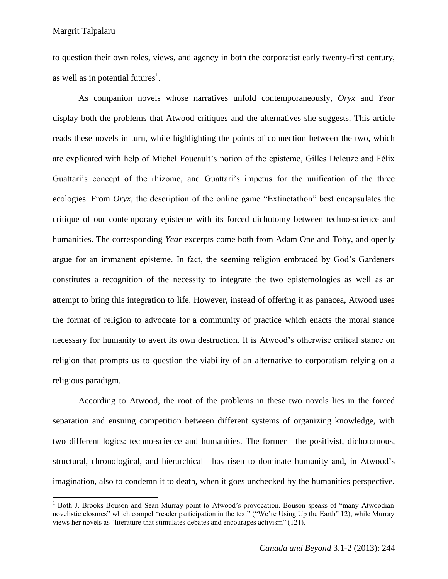$\overline{\phantom{a}}$ 

to question their own roles, views, and agency in both the corporatist early twenty-first century, as well as in potential futures<sup>1</sup>.

As companion novels whose narratives unfold contemporaneously, *Oryx* and *Year* display both the problems that Atwood critiques and the alternatives she suggests. This article reads these novels in turn, while highlighting the points of connection between the two, which are explicated with help of Michel Foucault's notion of the episteme, Gilles Deleuze and Félix Guattari's concept of the rhizome, and Guattari's impetus for the unification of the three ecologies. From *Oryx*, the description of the online game "Extinctathon" best encapsulates the critique of our contemporary episteme with its forced dichotomy between techno-science and humanities. The corresponding *Year* excerpts come both from Adam One and Toby, and openly argue for an immanent episteme. In fact, the seeming religion embraced by God's Gardeners constitutes a recognition of the necessity to integrate the two epistemologies as well as an attempt to bring this integration to life. However, instead of offering it as panacea, Atwood uses the format of religion to advocate for a community of practice which enacts the moral stance necessary for humanity to avert its own destruction. It is Atwood's otherwise critical stance on religion that prompts us to question the viability of an alternative to corporatism relying on a religious paradigm.

According to Atwood, the root of the problems in these two novels lies in the forced separation and ensuing competition between different systems of organizing knowledge, with two different logics: techno-science and humanities. The former—the positivist, dichotomous, structural, chronological, and hierarchical—has risen to dominate humanity and, in Atwood's imagination, also to condemn it to death, when it goes unchecked by the humanities perspective.

<sup>&</sup>lt;sup>1</sup> Both J. Brooks Bouson and Sean Murray point to Atwood's provocation. Bouson speaks of "many Atwoodian" novelistic closures" which compel "reader participation in the text" ("We're Using Up the Earth" 12), while Murray views her novels as "literature that stimulates debates and encourages activism" (121).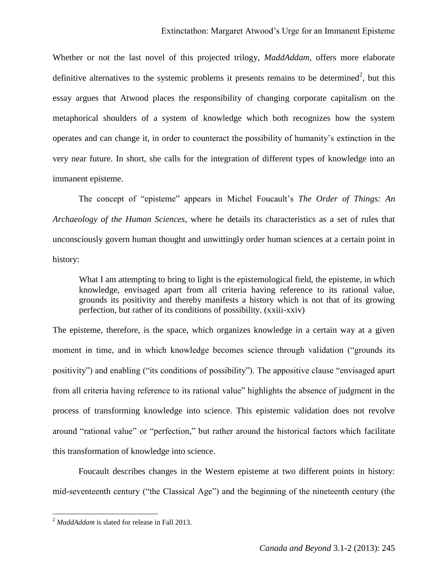Whether or not the last novel of this projected trilogy, *MaddAddam*, offers more elaborate definitive alternatives to the systemic problems it presents remains to be determined<sup>2</sup>, but this essay argues that Atwood places the responsibility of changing corporate capitalism on the metaphorical shoulders of a system of knowledge which both recognizes how the system operates and can change it, in order to counteract the possibility of humanity's extinction in the very near future. In short, she calls for the integration of different types of knowledge into an immanent episteme.

The concept of "episteme" appears in Michel Foucault's *The Order of Things: An Archaeology of the Human Sciences*, where he details its characteristics as a set of rules that unconsciously govern human thought and unwittingly order human sciences at a certain point in history:

What I am attempting to bring to light is the epistemological field, the episteme, in which knowledge, envisaged apart from all criteria having reference to its rational value, grounds its positivity and thereby manifests a history which is not that of its growing perfection, but rather of its conditions of possibility. (xxiii-xxiv)

The episteme, therefore, is the space, which organizes knowledge in a certain way at a given moment in time, and in which knowledge becomes science through validation ("grounds its positivity") and enabling ("its conditions of possibility"). The appositive clause "envisaged apart from all criteria having reference to its rational value" highlights the absence of judgment in the process of transforming knowledge into science. This epistemic validation does not revolve around "rational value" or "perfection," but rather around the historical factors which facilitate this transformation of knowledge into science.

Foucault describes changes in the Western episteme at two different points in history: mid-seventeenth century ("the Classical Age") and the beginning of the nineteenth century (the

 $\overline{\phantom{a}}$ 

<sup>2</sup> *MaddAddam* is slated for release in Fall 2013.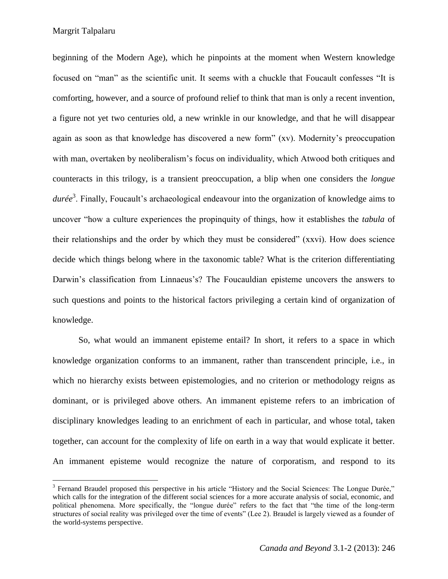$\overline{a}$ 

beginning of the Modern Age), which he pinpoints at the moment when Western knowledge focused on "man" as the scientific unit. It seems with a chuckle that Foucault confesses "It is comforting, however, and a source of profound relief to think that man is only a recent invention, a figure not yet two centuries old, a new wrinkle in our knowledge, and that he will disappear again as soon as that knowledge has discovered a new form" (xv). Modernity's preoccupation with man, overtaken by neoliberalism's focus on individuality, which Atwood both critiques and counteracts in this trilogy, is a transient preoccupation, a blip when one considers the *longue durée*<sup>3</sup> . Finally, Foucault's archaeological endeavour into the organization of knowledge aims to uncover "how a culture experiences the propinquity of things, how it establishes the *tabula* of their relationships and the order by which they must be considered" (xxvi). How does science decide which things belong where in the taxonomic table? What is the criterion differentiating Darwin's classification from Linnaeus's? The Foucauldian episteme uncovers the answers to such questions and points to the historical factors privileging a certain kind of organization of knowledge.

So, what would an immanent episteme entail? In short, it refers to a space in which knowledge organization conforms to an immanent, rather than transcendent principle, i.e., in which no hierarchy exists between epistemologies, and no criterion or methodology reigns as dominant, or is privileged above others. An immanent episteme refers to an imbrication of disciplinary knowledges leading to an enrichment of each in particular, and whose total, taken together, can account for the complexity of life on earth in a way that would explicate it better. An immanent episteme would recognize the nature of corporatism, and respond to its

<sup>&</sup>lt;sup>3</sup> Fernand Braudel proposed this perspective in his article "History and the Social Sciences: The Longue Durée," which calls for the integration of the different social sciences for a more accurate analysis of social, economic, and political phenomena. More specifically, the "longue durée" refers to the fact that "the time of the long-term structures of social reality was privileged over the time of events" (Lee 2). Braudel is largely viewed as a founder of the world-systems perspective.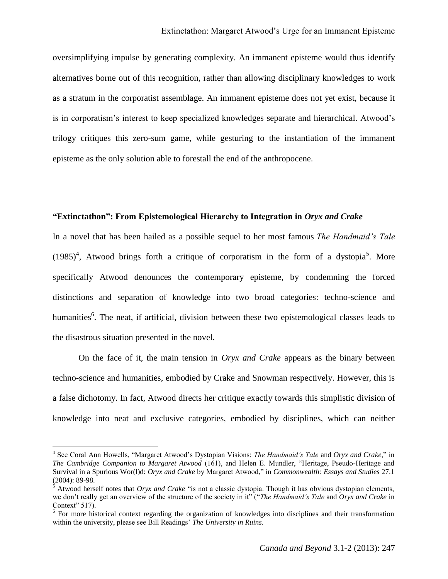oversimplifying impulse by generating complexity. An immanent episteme would thus identify alternatives borne out of this recognition, rather than allowing disciplinary knowledges to work as a stratum in the corporatist assemblage. An immanent episteme does not yet exist, because it is in corporatism's interest to keep specialized knowledges separate and hierarchical. Atwood's trilogy critiques this zero-sum game, while gesturing to the instantiation of the immanent episteme as the only solution able to forestall the end of the anthropocene.

### **"Extinctathon": From Epistemological Hierarchy to Integration in** *Oryx and Crake*

In a novel that has been hailed as a possible sequel to her most famous *The Handmaid's Tale*  $(1985)^4$ , Atwood brings forth a critique of corporatism in the form of a dystopia<sup>5</sup>. More specifically Atwood denounces the contemporary episteme, by condemning the forced distinctions and separation of knowledge into two broad categories: techno-science and humanities<sup>6</sup>. The neat, if artificial, division between these two epistemological classes leads to the disastrous situation presented in the novel.

On the face of it, the main tension in *Oryx and Crake* appears as the binary between techno-science and humanities, embodied by Crake and Snowman respectively. However, this is a false dichotomy. In fact, Atwood directs her critique exactly towards this simplistic division of knowledge into neat and exclusive categories, embodied by disciplines, which can neither

 4 See Coral Ann Howells, "Margaret Atwood's Dystopian Visions: *The Handmaid's Tale* and *Oryx and Crake*," in *The Cambridge Companion to Margaret Atwood* (161), and Helen E. Mundler, "Heritage, Pseudo-Heritage and Survival in a Spurious Wor(l)d: *Oryx and Crake* by Margaret Atwood," in *Commonwealth: Essays and Studies* 27.1 (2004): 89-98.

<sup>&</sup>lt;sup>5</sup> Atwood herself notes that *Oryx and Crake* "is not a classic dystopia. Though it has obvious dystopian elements, we don't really get an overview of the structure of the society in it" ("*The Handmaid's Tale* and *Oryx and Crake* in Context" 517).

<sup>&</sup>lt;sup>6</sup> For more historical context regarding the organization of knowledges into disciplines and their transformation within the university, please see Bill Readings' *The University in Ruins*.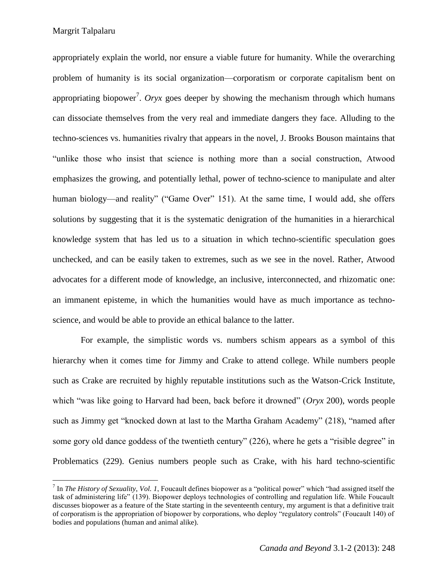$\overline{a}$ 

appropriately explain the world, nor ensure a viable future for humanity. While the overarching problem of humanity is its social organization—corporatism or corporate capitalism bent on appropriating biopower<sup>7</sup>. *Oryx* goes deeper by showing the mechanism through which humans can dissociate themselves from the very real and immediate dangers they face. Alluding to the techno-sciences vs. humanities rivalry that appears in the novel, J. Brooks Bouson maintains that "unlike those who insist that science is nothing more than a social construction, Atwood emphasizes the growing, and potentially lethal, power of techno-science to manipulate and alter human biology—and reality" ("Game Over" 151). At the same time, I would add, she offers solutions by suggesting that it is the systematic denigration of the humanities in a hierarchical knowledge system that has led us to a situation in which techno-scientific speculation goes unchecked, and can be easily taken to extremes, such as we see in the novel. Rather, Atwood advocates for a different mode of knowledge, an inclusive, interconnected, and rhizomatic one: an immanent episteme, in which the humanities would have as much importance as technoscience, and would be able to provide an ethical balance to the latter.

For example, the simplistic words vs. numbers schism appears as a symbol of this hierarchy when it comes time for Jimmy and Crake to attend college. While numbers people such as Crake are recruited by highly reputable institutions such as the Watson-Crick Institute, which "was like going to Harvard had been, back before it drowned" (*Oryx* 200), words people such as Jimmy get "knocked down at last to the Martha Graham Academy" (218), "named after some gory old dance goddess of the twentieth century" (226), where he gets a "risible degree" in Problematics (229). Genius numbers people such as Crake, with his hard techno-scientific

<sup>7</sup> In *The History of Sexuality*, *Vol. 1*, Foucault defines biopower as a "political power" which "had assigned itself the task of administering life" (139). Biopower deploys technologies of controlling and regulation life. While Foucault discusses biopower as a feature of the State starting in the seventeenth century, my argument is that a definitive trait of corporatism is the appropriation of biopower by corporations, who deploy "regulatory controls" (Foucault 140) of bodies and populations (human and animal alike).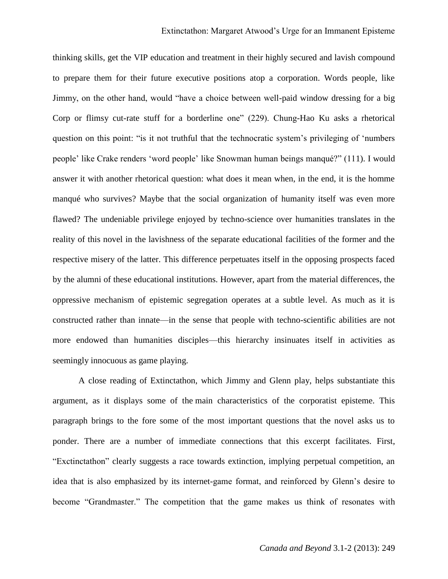thinking skills, get the VIP education and treatment in their highly secured and lavish compound to prepare them for their future executive positions atop a corporation. Words people, like Jimmy, on the other hand, would "have a choice between well-paid window dressing for a big Corp or flimsy cut-rate stuff for a borderline one" (229). Chung-Hao Ku asks a rhetorical question on this point: "is it not truthful that the technocratic system's privileging of 'numbers people' like Crake renders 'word people' like Snowman human beings manqué?" (111). I would answer it with another rhetorical question: what does it mean when, in the end, it is the homme manqué who survives? Maybe that the social organization of humanity itself was even more flawed? The undeniable privilege enjoyed by techno-science over humanities translates in the reality of this novel in the lavishness of the separate educational facilities of the former and the respective misery of the latter. This difference perpetuates itself in the opposing prospects faced by the alumni of these educational institutions. However, apart from the material differences, the oppressive mechanism of epistemic segregation operates at a subtle level. As much as it is constructed rather than innate—in the sense that people with techno-scientific abilities are not more endowed than humanities disciples—this hierarchy insinuates itself in activities as seemingly innocuous as game playing.

A close reading of Extinctathon, which Jimmy and Glenn play, helps substantiate this argument, as it displays some of the main characteristics of the corporatist episteme. This paragraph brings to the fore some of the most important questions that the novel asks us to ponder. There are a number of immediate connections that this excerpt facilitates. First, "Exctinctathon" clearly suggests a race towards extinction, implying perpetual competition, an idea that is also emphasized by its internet-game format, and reinforced by Glenn's desire to become "Grandmaster." The competition that the game makes us think of resonates with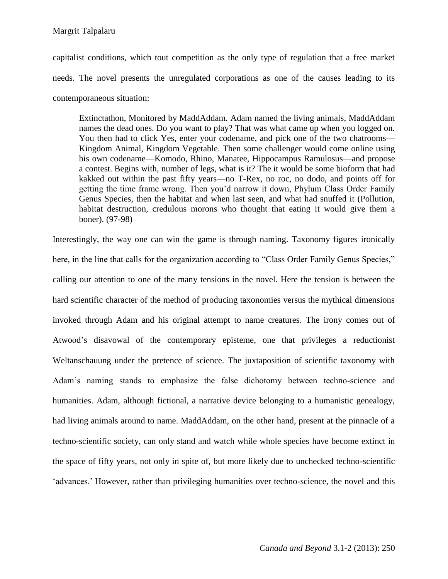capitalist conditions, which tout competition as the only type of regulation that a free market needs. The novel presents the unregulated corporations as one of the causes leading to its contemporaneous situation:

Extinctathon, Monitored by MaddAddam. Adam named the living animals, MaddAddam names the dead ones. Do you want to play? That was what came up when you logged on. You then had to click Yes, enter your codename, and pick one of the two chatrooms— Kingdom Animal, Kingdom Vegetable. Then some challenger would come online using his own codename—Komodo, Rhino, Manatee, Hippocampus Ramulosus—and propose a contest. Begins with, number of legs, what is it? The it would be some bioform that had kakked out within the past fifty years—no T-Rex, no roc, no dodo, and points off for getting the time frame wrong. Then you'd narrow it down, Phylum Class Order Family Genus Species, then the habitat and when last seen, and what had snuffed it (Pollution, habitat destruction, credulous morons who thought that eating it would give them a boner). (97-98)

Interestingly, the way one can win the game is through naming. Taxonomy figures ironically here, in the line that calls for the organization according to "Class Order Family Genus Species," calling our attention to one of the many tensions in the novel. Here the tension is between the hard scientific character of the method of producing taxonomies versus the mythical dimensions invoked through Adam and his original attempt to name creatures. The irony comes out of Atwood's disavowal of the contemporary episteme, one that privileges a reductionist Weltanschauung under the pretence of science. The juxtaposition of scientific taxonomy with Adam's naming stands to emphasize the false dichotomy between techno-science and humanities. Adam, although fictional, a narrative device belonging to a humanistic genealogy, had living animals around to name. MaddAddam, on the other hand, present at the pinnacle of a techno-scientific society, can only stand and watch while whole species have become extinct in the space of fifty years, not only in spite of, but more likely due to unchecked techno-scientific 'advances.' However, rather than privileging humanities over techno-science, the novel and this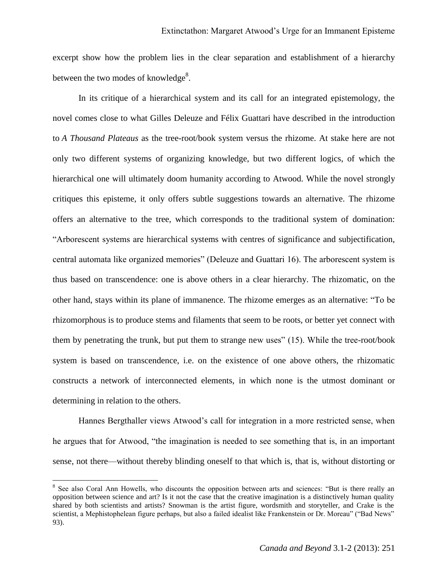excerpt show how the problem lies in the clear separation and establishment of a hierarchy between the two modes of knowledge $^8$ .

In its critique of a hierarchical system and its call for an integrated epistemology, the novel comes close to what Gilles Deleuze and Félix Guattari have described in the introduction to *A Thousand Plateaus* as the tree-root/book system versus the rhizome. At stake here are not only two different systems of organizing knowledge, but two different logics, of which the hierarchical one will ultimately doom humanity according to Atwood. While the novel strongly critiques this episteme, it only offers subtle suggestions towards an alternative. The rhizome offers an alternative to the tree, which corresponds to the traditional system of domination: "Arborescent systems are hierarchical systems with centres of significance and subjectification, central automata like organized memories" (Deleuze and Guattari 16). The arborescent system is thus based on transcendence: one is above others in a clear hierarchy. The rhizomatic, on the other hand, stays within its plane of immanence. The rhizome emerges as an alternative: "To be rhizomorphous is to produce stems and filaments that seem to be roots, or better yet connect with them by penetrating the trunk, but put them to strange new uses" (15). While the tree-root/book system is based on transcendence, i.e. on the existence of one above others, the rhizomatic constructs a network of interconnected elements, in which none is the utmost dominant or determining in relation to the others.

Hannes Bergthaller views Atwood's call for integration in a more restricted sense, when he argues that for Atwood, "the imagination is needed to see something that is, in an important sense, not there—without thereby blinding oneself to that which is, that is, without distorting or

 $\overline{a}$ 

<sup>&</sup>lt;sup>8</sup> See also Coral Ann Howells, who discounts the opposition between arts and sciences: "But is there really an opposition between science and art? Is it not the case that the creative imagination is a distinctively human quality shared by both scientists and artists? Snowman is the artist figure, wordsmith and storyteller, and Crake is the scientist, a Mephistophelean figure perhaps, but also a failed idealist like Frankenstein or Dr. Moreau" ("Bad News" 93).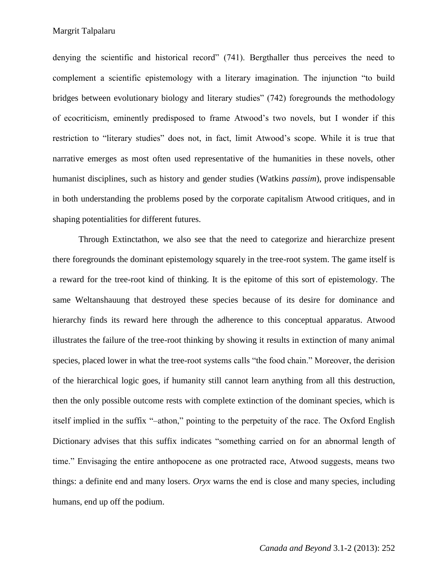denying the scientific and historical record" (741). Bergthaller thus perceives the need to complement a scientific epistemology with a literary imagination. The injunction "to build bridges between evolutionary biology and literary studies" (742) foregrounds the methodology of ecocriticism, eminently predisposed to frame Atwood's two novels, but I wonder if this restriction to "literary studies" does not, in fact, limit Atwood's scope. While it is true that narrative emerges as most often used representative of the humanities in these novels, other humanist disciplines, such as history and gender studies (Watkins *passim*), prove indispensable in both understanding the problems posed by the corporate capitalism Atwood critiques, and in shaping potentialities for different futures.

Through Extinctathon, we also see that the need to categorize and hierarchize present there foregrounds the dominant epistemology squarely in the tree-root system. The game itself is a reward for the tree-root kind of thinking. It is the epitome of this sort of epistemology. The same Weltanshauung that destroyed these species because of its desire for dominance and hierarchy finds its reward here through the adherence to this conceptual apparatus. Atwood illustrates the failure of the tree-root thinking by showing it results in extinction of many animal species, placed lower in what the tree-root systems calls "the food chain." Moreover, the derision of the hierarchical logic goes, if humanity still cannot learn anything from all this destruction, then the only possible outcome rests with complete extinction of the dominant species, which is itself implied in the suffix "–athon," pointing to the perpetuity of the race. The Oxford English Dictionary advises that this suffix indicates "something carried on for an abnormal length of time." Envisaging the entire anthopocene as one protracted race, Atwood suggests, means two things: a definite end and many losers. *Oryx* warns the end is close and many species, including humans, end up off the podium.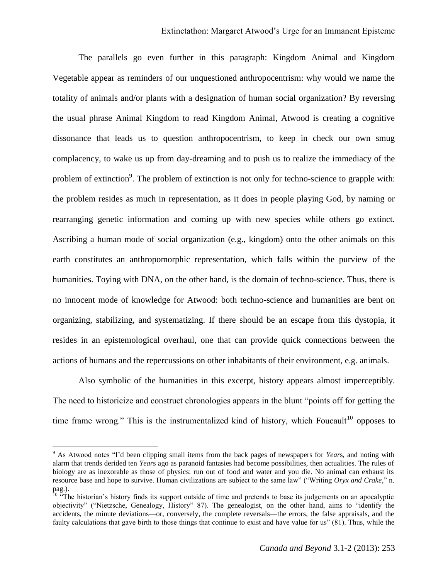The parallels go even further in this paragraph: Kingdom Animal and Kingdom Vegetable appear as reminders of our unquestioned anthropocentrism: why would we name the totality of animals and/or plants with a designation of human social organization? By reversing the usual phrase Animal Kingdom to read Kingdom Animal, Atwood is creating a cognitive dissonance that leads us to question anthropocentrism, to keep in check our own smug complacency, to wake us up from day-dreaming and to push us to realize the immediacy of the problem of extinction<sup>9</sup>. The problem of extinction is not only for techno-science to grapple with: the problem resides as much in representation, as it does in people playing God, by naming or rearranging genetic information and coming up with new species while others go extinct. Ascribing a human mode of social organization (e.g., kingdom) onto the other animals on this earth constitutes an anthropomorphic representation, which falls within the purview of the humanities. Toying with DNA, on the other hand, is the domain of techno-science. Thus, there is no innocent mode of knowledge for Atwood: both techno-science and humanities are bent on organizing, stabilizing, and systematizing. If there should be an escape from this dystopia, it resides in an epistemological overhaul, one that can provide quick connections between the actions of humans and the repercussions on other inhabitants of their environment, e.g. animals.

Also symbolic of the humanities in this excerpt, history appears almost imperceptibly. The need to historicize and construct chronologies appears in the blunt "points off for getting the time frame wrong." This is the instrumentalized kind of history, which Foucault<sup>10</sup> opposes to

 $\overline{\phantom{a}}$ 

<sup>9</sup> As Atwood notes "I'd been clipping small items from the back pages of newspapers for *Year*s, and noting with alarm that trends derided ten *Year*s ago as paranoid fantasies had become possibilities, then actualities. The rules of biology are as inexorable as those of physics: run out of food and water and you die. No animal can exhaust its resource base and hope to survive. Human civilizations are subject to the same law" ("Writing *Oryx and Crake*," n. pag.).

 $10$  "The historian's history finds its support outside of time and pretends to base its judgements on an apocalyptic objectivity" ("Nietzsche, Genealogy, History" 87). The genealogist, on the other hand, aims to "identify the accidents, the minute deviations—or, conversely, the complete reversals—the errors, the false appraisals, and the faulty calculations that gave birth to those things that continue to exist and have value for us" (81). Thus, while the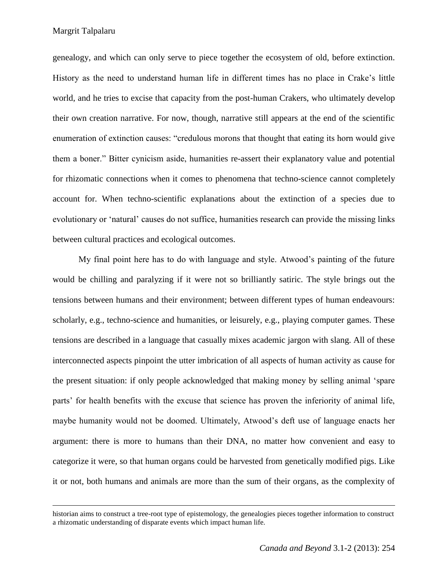$\overline{\phantom{a}}$ 

genealogy, and which can only serve to piece together the ecosystem of old, before extinction. History as the need to understand human life in different times has no place in Crake's little world, and he tries to excise that capacity from the post-human Crakers, who ultimately develop their own creation narrative. For now, though, narrative still appears at the end of the scientific enumeration of extinction causes: "credulous morons that thought that eating its horn would give them a boner." Bitter cynicism aside, humanities re-assert their explanatory value and potential for rhizomatic connections when it comes to phenomena that techno-science cannot completely account for. When techno-scientific explanations about the extinction of a species due to evolutionary or 'natural' causes do not suffice, humanities research can provide the missing links between cultural practices and ecological outcomes.

My final point here has to do with language and style. Atwood's painting of the future would be chilling and paralyzing if it were not so brilliantly satiric. The style brings out the tensions between humans and their environment; between different types of human endeavours: scholarly, e.g., techno-science and humanities, or leisurely, e.g., playing computer games. These tensions are described in a language that casually mixes academic jargon with slang. All of these interconnected aspects pinpoint the utter imbrication of all aspects of human activity as cause for the present situation: if only people acknowledged that making money by selling animal 'spare parts' for health benefits with the excuse that science has proven the inferiority of animal life, maybe humanity would not be doomed. Ultimately, Atwood's deft use of language enacts her argument: there is more to humans than their DNA, no matter how convenient and easy to categorize it were, so that human organs could be harvested from genetically modified pigs. Like it or not, both humans and animals are more than the sum of their organs, as the complexity of

historian aims to construct a tree-root type of epistemology, the genealogies pieces together information to construct a rhizomatic understanding of disparate events which impact human life.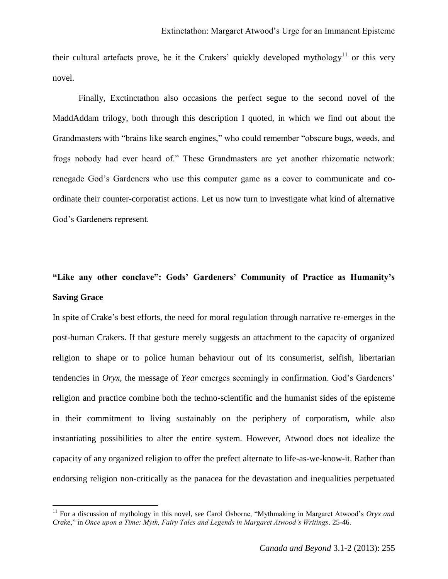their cultural artefacts prove, be it the Crakers' quickly developed mythology<sup>11</sup> or this very novel.

Finally, Exctinctathon also occasions the perfect segue to the second novel of the MaddAddam trilogy, both through this description I quoted, in which we find out about the Grandmasters with "brains like search engines," who could remember "obscure bugs, weeds, and frogs nobody had ever heard of." These Grandmasters are yet another rhizomatic network: renegade God's Gardeners who use this computer game as a cover to communicate and coordinate their counter-corporatist actions. Let us now turn to investigate what kind of alternative God's Gardeners represent.

# **"Like any other conclave": Gods' Gardeners' Community of Practice as Humanity's Saving Grace**

In spite of Crake's best efforts, the need for moral regulation through narrative re-emerges in the post-human Crakers. If that gesture merely suggests an attachment to the capacity of organized religion to shape or to police human behaviour out of its consumerist, selfish, libertarian tendencies in *Oryx*, the message of *Year* emerges seemingly in confirmation. God's Gardeners' religion and practice combine both the techno-scientific and the humanist sides of the episteme in their commitment to living sustainably on the periphery of corporatism, while also instantiating possibilities to alter the entire system. However, Atwood does not idealize the capacity of any organized religion to offer the prefect alternate to life-as-we-know-it. Rather than endorsing religion non-critically as the panacea for the devastation and inequalities perpetuated

 $\overline{\phantom{a}}$ 

<sup>&</sup>lt;sup>11</sup> For a discussion of mythology in this novel, see Carol Osborne, "Mythmaking in Margaret Atwood's *Oryx and Crake*," in *Once upon a Time: Myth, Fairy Tales and Legends in Margaret Atwood's Writings*. 25-46.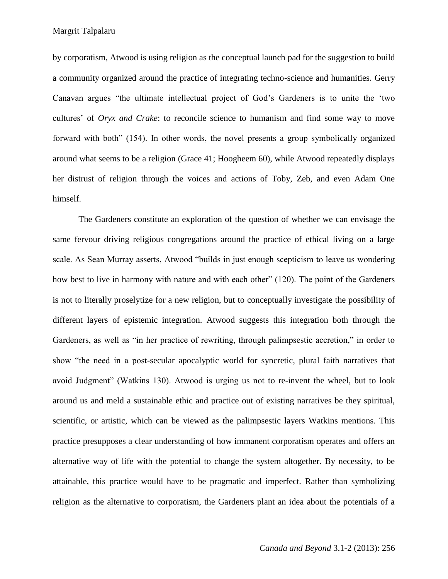by corporatism, Atwood is using religion as the conceptual launch pad for the suggestion to build a community organized around the practice of integrating techno-science and humanities. Gerry Canavan argues "the ultimate intellectual project of God's Gardeners is to unite the 'two cultures' of *Oryx and Crake*: to reconcile science to humanism and find some way to move forward with both" (154). In other words, the novel presents a group symbolically organized around what seems to be a religion (Grace 41; Hoogheem 60), while Atwood repeatedly displays her distrust of religion through the voices and actions of Toby, Zeb, and even Adam One himself.

The Gardeners constitute an exploration of the question of whether we can envisage the same fervour driving religious congregations around the practice of ethical living on a large scale. As Sean Murray asserts, Atwood "builds in just enough scepticism to leave us wondering how best to live in harmony with nature and with each other" (120). The point of the Gardeners is not to literally proselytize for a new religion, but to conceptually investigate the possibility of different layers of epistemic integration. Atwood suggests this integration both through the Gardeners, as well as "in her practice of rewriting, through palimpsestic accretion," in order to show "the need in a post-secular apocalyptic world for syncretic, plural faith narratives that avoid Judgment" (Watkins 130). Atwood is urging us not to re-invent the wheel, but to look around us and meld a sustainable ethic and practice out of existing narratives be they spiritual, scientific, or artistic, which can be viewed as the palimpsestic layers Watkins mentions. This practice presupposes a clear understanding of how immanent corporatism operates and offers an alternative way of life with the potential to change the system altogether. By necessity, to be attainable, this practice would have to be pragmatic and imperfect. Rather than symbolizing religion as the alternative to corporatism, the Gardeners plant an idea about the potentials of a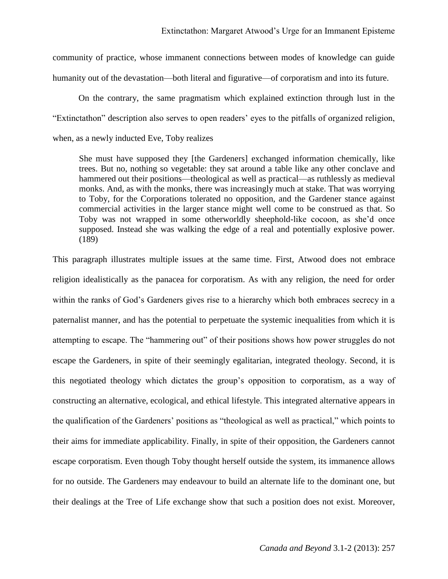community of practice, whose immanent connections between modes of knowledge can guide humanity out of the devastation—both literal and figurative—of corporatism and into its future.

On the contrary, the same pragmatism which explained extinction through lust in the "Extinctathon" description also serves to open readers' eyes to the pitfalls of organized religion, when, as a newly inducted Eve, Toby realizes

She must have supposed they [the Gardeners] exchanged information chemically, like trees. But no, nothing so vegetable: they sat around a table like any other conclave and hammered out their positions—theological as well as practical—as ruthlessly as medieval monks. And, as with the monks, there was increasingly much at stake. That was worrying to Toby, for the Corporations tolerated no opposition, and the Gardener stance against commercial activities in the larger stance might well come to be construed as that. So Toby was not wrapped in some otherworldly sheephold-like cocoon, as she'd once supposed. Instead she was walking the edge of a real and potentially explosive power. (189)

This paragraph illustrates multiple issues at the same time. First, Atwood does not embrace religion idealistically as the panacea for corporatism. As with any religion, the need for order within the ranks of God's Gardeners gives rise to a hierarchy which both embraces secrecy in a paternalist manner, and has the potential to perpetuate the systemic inequalities from which it is attempting to escape. The "hammering out" of their positions shows how power struggles do not escape the Gardeners, in spite of their seemingly egalitarian, integrated theology. Second, it is this negotiated theology which dictates the group's opposition to corporatism, as a way of constructing an alternative, ecological, and ethical lifestyle. This integrated alternative appears in the qualification of the Gardeners' positions as "theological as well as practical," which points to their aims for immediate applicability. Finally, in spite of their opposition, the Gardeners cannot escape corporatism. Even though Toby thought herself outside the system, its immanence allows for no outside. The Gardeners may endeavour to build an alternate life to the dominant one, but their dealings at the Tree of Life exchange show that such a position does not exist. Moreover,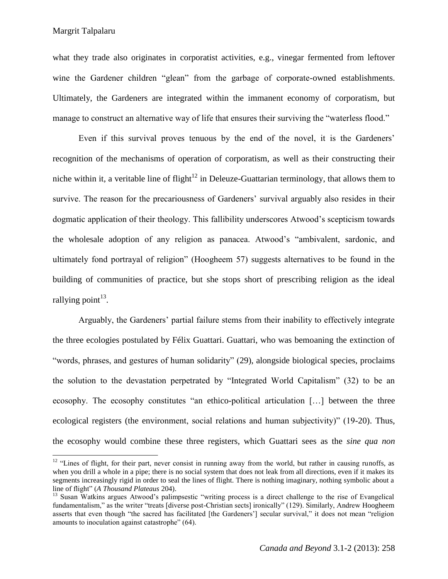$\overline{a}$ 

what they trade also originates in corporatist activities, e.g., vinegar fermented from leftover wine the Gardener children "glean" from the garbage of corporate-owned establishments. Ultimately, the Gardeners are integrated within the immanent economy of corporatism, but manage to construct an alternative way of life that ensures their surviving the "waterless flood."

Even if this survival proves tenuous by the end of the novel, it is the Gardeners' recognition of the mechanisms of operation of corporatism, as well as their constructing their niche within it, a veritable line of flight<sup>12</sup> in Deleuze-Guattarian terminology, that allows them to survive. The reason for the precariousness of Gardeners' survival arguably also resides in their dogmatic application of their theology. This fallibility underscores Atwood's scepticism towards the wholesale adoption of any religion as panacea. Atwood's "ambivalent, sardonic, and ultimately fond portrayal of religion" (Hoogheem 57) suggests alternatives to be found in the building of communities of practice, but she stops short of prescribing religion as the ideal rallying point<sup>13</sup>.

Arguably, the Gardeners' partial failure stems from their inability to effectively integrate the three ecologies postulated by Félix Guattari. Guattari, who was bemoaning the extinction of "words, phrases, and gestures of human solidarity" (29), alongside biological species, proclaims the solution to the devastation perpetrated by "Integrated World Capitalism" (32) to be an ecosophy. The ecosophy constitutes "an ethico-political articulation […] between the three ecological registers (the environment, social relations and human subjectivity)" (19-20). Thus, the ecosophy would combine these three registers, which Guattari sees as the *sine qua non*

 $12$  "Lines of flight, for their part, never consist in running away from the world, but rather in causing runoffs, as when you drill a whole in a pipe; there is no social system that does not leak from all directions, even if it makes its segments increasingly rigid in order to seal the lines of flight. There is nothing imaginary, nothing symbolic about a line of flight" (*A Thousand Plateaus* 204).

<sup>&</sup>lt;sup>13</sup> Susan Watkins argues Atwood's palimpsestic "writing process is a direct challenge to the rise of Evangelical fundamentalism," as the writer "treats [diverse post-Christian sects] ironically" (129). Similarly, Andrew Hoogheem asserts that even though "the sacred has facilitated [the Gardeners'] secular survival," it does not mean "religion amounts to inoculation against catastrophe" (64).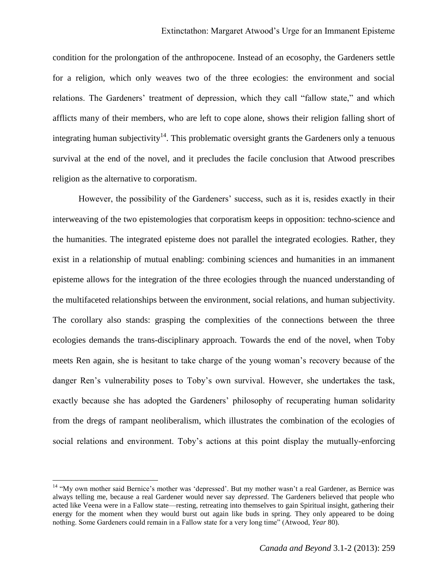condition for the prolongation of the anthropocene. Instead of an ecosophy, the Gardeners settle for a religion, which only weaves two of the three ecologies: the environment and social relations. The Gardeners' treatment of depression, which they call "fallow state," and which afflicts many of their members, who are left to cope alone, shows their religion falling short of integrating human subjectivity<sup>14</sup>. This problematic oversight grants the Gardeners only a tenuous survival at the end of the novel, and it precludes the facile conclusion that Atwood prescribes religion as the alternative to corporatism.

However, the possibility of the Gardeners' success, such as it is, resides exactly in their interweaving of the two epistemologies that corporatism keeps in opposition: techno-science and the humanities. The integrated episteme does not parallel the integrated ecologies. Rather, they exist in a relationship of mutual enabling: combining sciences and humanities in an immanent episteme allows for the integration of the three ecologies through the nuanced understanding of the multifaceted relationships between the environment, social relations, and human subjectivity. The corollary also stands: grasping the complexities of the connections between the three ecologies demands the trans-disciplinary approach. Towards the end of the novel, when Toby meets Ren again, she is hesitant to take charge of the young woman's recovery because of the danger Ren's vulnerability poses to Toby's own survival. However, she undertakes the task, exactly because she has adopted the Gardeners' philosophy of recuperating human solidarity from the dregs of rampant neoliberalism, which illustrates the combination of the ecologies of social relations and environment. Toby's actions at this point display the mutually-enforcing

 $\overline{a}$ 

<sup>&</sup>lt;sup>14</sup> "My own mother said Bernice's mother was 'depressed'. But my mother wasn't a real Gardener, as Bernice was always telling me, because a real Gardener would never say *depressed*. The Gardeners believed that people who acted like Veena were in a Fallow state—resting, retreating into themselves to gain Spiritual insight, gathering their energy for the moment when they would burst out again like buds in spring. They only appeared to be doing nothing. Some Gardeners could remain in a Fallow state for a very long time" (Atwood, *Year* 80).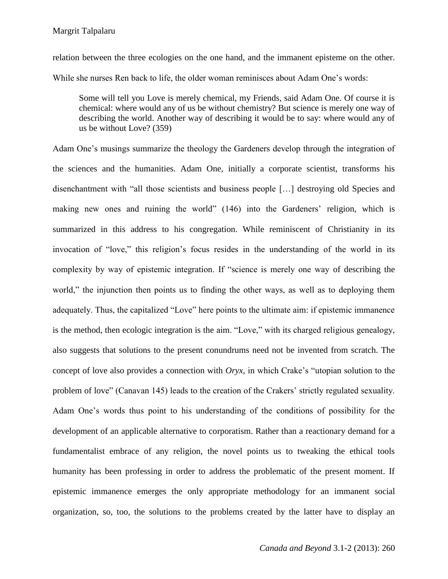relation between the three ecologies on the one hand, and the immanent episteme on the other. While she nurses Ren back to life, the older woman reminisces about Adam One's words:

Some will tell you Love is merely chemical, my Friends, said Adam One. Of course it is chemical: where would any of us be without chemistry? But science is merely one way of describing the world. Another way of describing it would be to say: where would any of us be without Love? (359)

Adam One's musings summarize the theology the Gardeners develop through the integration of the sciences and the humanities. Adam One, initially a corporate scientist, transforms his disenchantment with "all those scientists and business people […] destroying old Species and making new ones and ruining the world" (146) into the Gardeners' religion, which is summarized in this address to his congregation. While reminiscent of Christianity in its invocation of "love," this religion's focus resides in the understanding of the world in its complexity by way of epistemic integration. If "science is merely one way of describing the world," the injunction then points us to finding the other ways, as well as to deploying them adequately. Thus, the capitalized "Love" here points to the ultimate aim: if epistemic immanence is the method, then ecologic integration is the aim. "Love," with its charged religious genealogy, also suggests that solutions to the present conundrums need not be invented from scratch. The concept of love also provides a connection with *Oryx*, in which Crake's "utopian solution to the problem of love" (Canavan 145) leads to the creation of the Crakers' strictly regulated sexuality. Adam One's words thus point to his understanding of the conditions of possibility for the development of an applicable alternative to corporatism. Rather than a reactionary demand for a fundamentalist embrace of any religion, the novel points us to tweaking the ethical tools humanity has been professing in order to address the problematic of the present moment. If epistemic immanence emerges the only appropriate methodology for an immanent social organization, so, too, the solutions to the problems created by the latter have to display an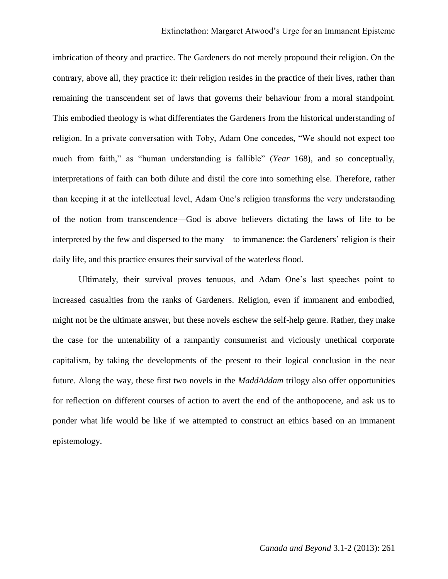imbrication of theory and practice. The Gardeners do not merely propound their religion. On the contrary, above all, they practice it: their religion resides in the practice of their lives, rather than remaining the transcendent set of laws that governs their behaviour from a moral standpoint. This embodied theology is what differentiates the Gardeners from the historical understanding of religion. In a private conversation with Toby, Adam One concedes, "We should not expect too much from faith," as "human understanding is fallible" (*Year* 168), and so conceptually, interpretations of faith can both dilute and distil the core into something else. Therefore, rather than keeping it at the intellectual level, Adam One's religion transforms the very understanding of the notion from transcendence—God is above believers dictating the laws of life to be interpreted by the few and dispersed to the many—to immanence: the Gardeners' religion is their daily life, and this practice ensures their survival of the waterless flood.

Ultimately, their survival proves tenuous, and Adam One's last speeches point to increased casualties from the ranks of Gardeners. Religion, even if immanent and embodied, might not be the ultimate answer, but these novels eschew the self-help genre. Rather, they make the case for the untenability of a rampantly consumerist and viciously unethical corporate capitalism, by taking the developments of the present to their logical conclusion in the near future. Along the way, these first two novels in the *MaddAddam* trilogy also offer opportunities for reflection on different courses of action to avert the end of the anthopocene, and ask us to ponder what life would be like if we attempted to construct an ethics based on an immanent epistemology.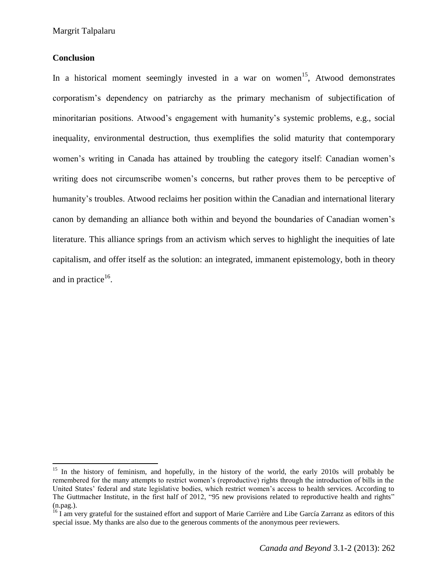## **Conclusion**

 $\overline{\phantom{a}}$ 

In a historical moment seemingly invested in a war on women<sup>15</sup>, Atwood demonstrates corporatism's dependency on patriarchy as the primary mechanism of subjectification of minoritarian positions. Atwood's engagement with humanity's systemic problems, e.g., social inequality, environmental destruction, thus exemplifies the solid maturity that contemporary women's writing in Canada has attained by troubling the category itself: Canadian women's writing does not circumscribe women's concerns, but rather proves them to be perceptive of humanity's troubles. Atwood reclaims her position within the Canadian and international literary canon by demanding an alliance both within and beyond the boundaries of Canadian women's literature. This alliance springs from an activism which serves to highlight the inequities of late capitalism, and offer itself as the solution: an integrated, immanent epistemology, both in theory and in practice $16$ .

<sup>&</sup>lt;sup>15</sup> In the history of feminism, and hopefully, in the history of the world, the early 2010s will probably be remembered for the many attempts to restrict women's (reproductive) rights through the introduction of bills in the United States' federal and state legislative bodies, which restrict women's access to health services. According to The Guttmacher Institute, in the first half of 2012, "95 new provisions related to reproductive health and rights" (n.pag.).

<sup>&</sup>lt;sup>16</sup> I am very grateful for the sustained effort and support of Marie Carrière and Libe García Zarranz as editors of this special issue. My thanks are also due to the generous comments of the anonymous peer reviewers.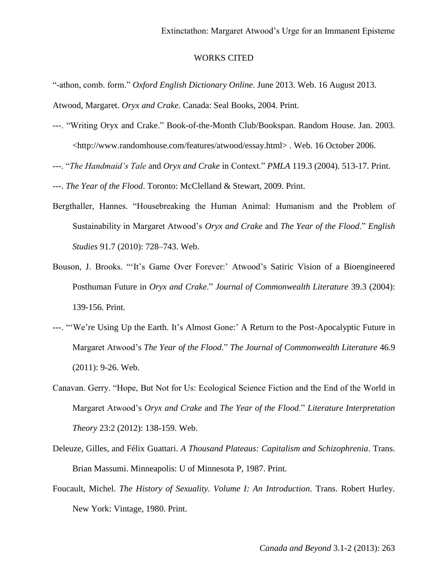### WORKS CITED

"-athon, comb. form." *Oxford English Dictionary Online*. June 2013. Web. 16 August 2013. Atwood, Margaret. *Oryx and Crake*. Canada: Seal Books, 2004. Print.

- ---. "Writing Oryx and Crake." Book-of-the-Month Club/Bookspan. Random House. Jan. 2003. <http://www.randomhouse.com/features/atwood/essay.html> . Web. 16 October 2006.
- ---. "*The Handmaid's Tale* and *Oryx and Crake* in Context." *PMLA* 119.3 (2004). 513-17. Print.
- ---. *The Year of the Flood*. Toronto: McClelland & Stewart, 2009. Print.
- Bergthaller, Hannes. "Housebreaking the Human Animal: Humanism and the Problem of Sustainability in Margaret Atwood's *Oryx and Crake* and *The Year of the Flood*." *English Studies* 91.7 (2010): 728–743. Web.
- Bouson, J. Brooks. "'It's Game Over Forever:' Atwood's Satiric Vision of a Bioengineered Posthuman Future in *Oryx and Crake*." *Journal of Commonwealth Literature* 39.3 (2004): 139-156. Print.
- ---. "'We're Using Up the Earth. It's Almost Gone:' A Return to the Post-Apocalyptic Future in Margaret Atwood's *The Year of the Flood*." *The Journal of Commonwealth Literature* 46.9 (2011): 9-26. Web.
- Canavan. Gerry. "Hope, But Not for Us: Ecological Science Fiction and the End of the World in Margaret Atwood's *Oryx and Crake* and *The Year of the Flood*." *Literature Interpretation Theory* 23:2 (2012): 138-159. Web.
- Deleuze, Gilles, and Félix Guattari. *A Thousand Plateaus: Capitalism and Schizophrenia*. Trans. Brian Massumi. Minneapolis: U of Minnesota P, 1987. Print.
- Foucault, Michel. *The History of Sexuality. Volume I: An Introduction*. Trans. Robert Hurley. New York: Vintage, 1980. Print.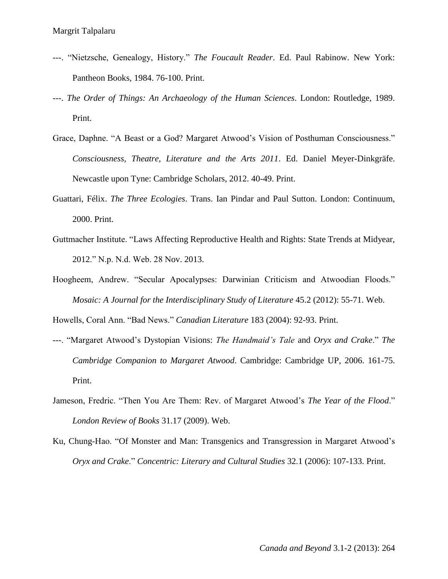- ---. "Nietzsche, Genealogy, History." *The Foucault Reader*. Ed. Paul Rabinow. New York: Pantheon Books, 1984. 76-100. Print.
- ---. *The Order of Things: An Archaeology of the Human Sciences*. London: Routledge, 1989. Print.
- Grace, Daphne. "A Beast or a God? Margaret Atwood's Vision of Posthuman Consciousness." *Consciousness, Theatre, Literature and the Arts 2011*. Ed. Daniel Meyer-Dinkgräfe. Newcastle upon Tyne: Cambridge Scholars, 2012. 40-49. Print.
- Guattari, Félix. *The Three Ecologies*. Trans. Ian Pindar and Paul Sutton. London: Continuum, 2000. Print.
- Guttmacher Institute. "Laws Affecting Reproductive Health and Rights: State Trends at Midyear, 2012." N.p. N.d. Web. 28 Nov. 2013.
- Hoogheem, Andrew. "Secular Apocalypses: Darwinian Criticism and Atwoodian Floods." *Mosaic: A Journal for the Interdisciplinary Study of Literature* 45.2 (2012): 55-71. Web.

Howells, Coral Ann. "Bad News." *Canadian Literature* 183 (2004): 92-93. Print.

- ---. "Margaret Atwood's Dystopian Visions: *The Handmaid's Tale* and *Oryx and Crake*." *The Cambridge Companion to Margaret Atwood*. Cambridge: Cambridge UP, 2006. 161-75. Print.
- Jameson, Fredric. "Then You Are Them: Rev. of Margaret Atwood's *The Year of the Flood*." *London Review of Books* 31.17 (2009). Web.
- Ku, Chung-Hao. "Of Monster and Man: Transgenics and Transgression in Margaret Atwood's *Oryx and Crake*." *Concentric: Literary and Cultural Studies* 32.1 (2006): 107-133. Print.